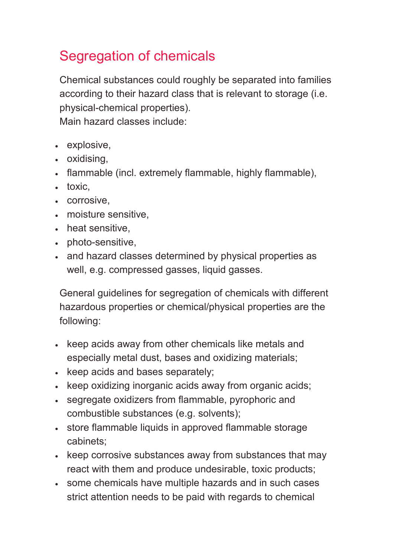## Segregation of chemicals

Chemical substances could roughly be separated into families according to their hazard class that is relevant to storage (i.e. physical-chemical properties).

Main hazard classes include:

- explosive,
- oxidising,
- flammable (incl. extremely flammable, highly flammable),
- toxic,
- corrosive,
- moisture sensitive,
- heat sensitive,
- photo-sensitive,
- and hazard classes determined by physical properties as well, e.g. compressed gasses, liquid gasses.

General guidelines for segregation of chemicals with different hazardous properties or chemical/physical properties are the following:

- keep acids away from other chemicals like metals and especially metal dust, bases and oxidizing materials;
- keep acids and bases separately;
- keep oxidizing inorganic acids away from organic acids;
- segregate oxidizers from flammable, pyrophoric and combustible substances (e.g. solvents);
- store flammable liquids in approved flammable storage cabinets;
- keep corrosive substances away from substances that may react with them and produce undesirable, toxic products;
- some chemicals have multiple hazards and in such cases strict attention needs to be paid with regards to chemical